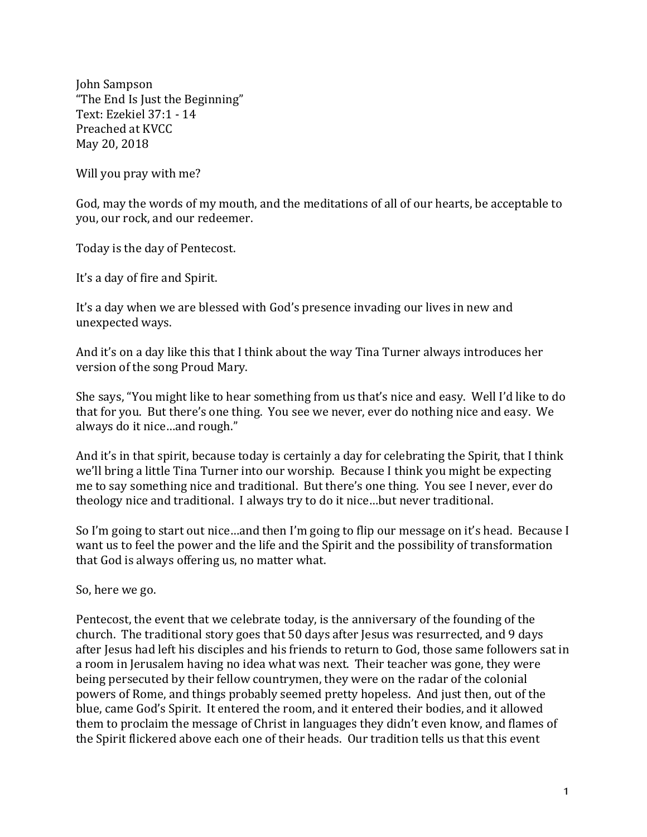John Sampson "The End Is Just the Beginning" Text: Ezekiel 37:1 - 14 Preached at KVCC May 20, 2018

Will you pray with me?

God, may the words of my mouth, and the meditations of all of our hearts, be acceptable to you, our rock, and our redeemer.

Today is the day of Pentecost.

It's a day of fire and Spirit.

It's a day when we are blessed with God's presence invading our lives in new and unexpected ways.

And it's on a day like this that I think about the way Tina Turner always introduces her version of the song Proud Mary.

She says, "You might like to hear something from us that's nice and easy. Well I'd like to do that for you. But there's one thing. You see we never, ever do nothing nice and easy. We always do it nice...and rough."

And it's in that spirit, because today is certainly a day for celebrating the Spirit, that I think we'll bring a little Tina Turner into our worship. Because I think you might be expecting me to say something nice and traditional. But there's one thing. You see I never, ever do theology nice and traditional. I always try to do it nice...but never traditional.

So I'm going to start out nice...and then I'm going to flip our message on it's head. Because I want us to feel the power and the life and the Spirit and the possibility of transformation that God is always offering us, no matter what.

So, here we go.

Pentecost, the event that we celebrate today, is the anniversary of the founding of the church. The traditional story goes that 50 days after Jesus was resurrected, and 9 days after Jesus had left his disciples and his friends to return to God, those same followers sat in a room in Jerusalem having no idea what was next. Their teacher was gone, they were being persecuted by their fellow countrymen, they were on the radar of the colonial powers of Rome, and things probably seemed pretty hopeless. And just then, out of the blue, came God's Spirit. It entered the room, and it entered their bodies, and it allowed them to proclaim the message of Christ in languages they didn't even know, and flames of the Spirit flickered above each one of their heads. Our tradition tells us that this event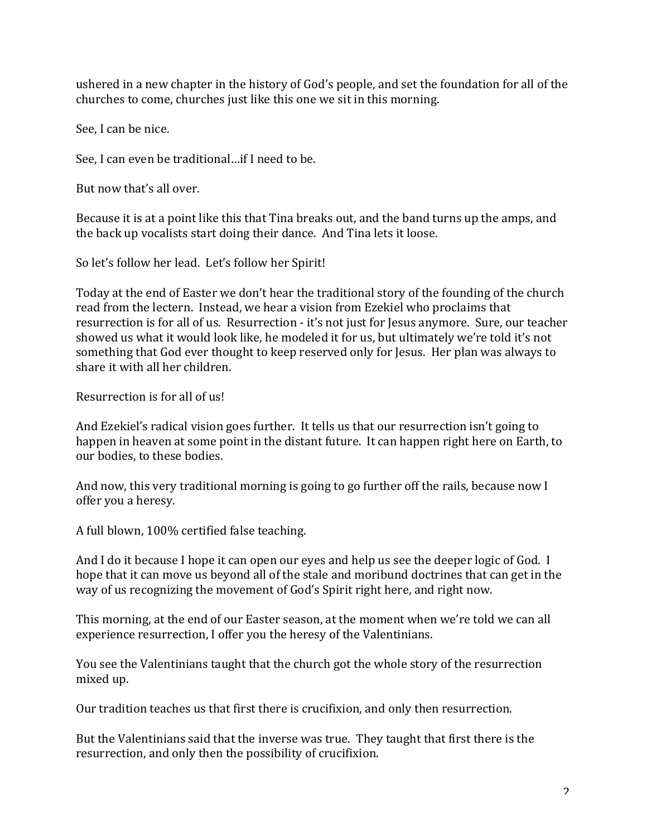ushered in a new chapter in the history of God's people, and set the foundation for all of the churches to come, churches just like this one we sit in this morning.

See. I can be nice.

See, I can even be traditional...if I need to be.

But now that's all over.

Because it is at a point like this that Tina breaks out, and the band turns up the amps, and the back up vocalists start doing their dance. And Tina lets it loose.

So let's follow her lead. Let's follow her Spirit!

Today at the end of Easter we don't hear the traditional story of the founding of the church read from the lectern. Instead, we hear a vision from Ezekiel who proclaims that resurrection is for all of us. Resurrection - it's not just for Jesus anymore. Sure, our teacher showed us what it would look like, he modeled it for us, but ultimately we're told it's not something that God ever thought to keep reserved only for Jesus. Her plan was always to share it with all her children.

Resurrection is for all of us!

And Ezekiel's radical vision goes further. It tells us that our resurrection isn't going to happen in heaven at some point in the distant future. It can happen right here on Earth, to our bodies, to these bodies.

And now, this very traditional morning is going to go further off the rails, because now I offer you a heresy.

A full blown, 100% certified false teaching.

And I do it because I hope it can open our eyes and help us see the deeper logic of God. I hope that it can move us beyond all of the stale and moribund doctrines that can get in the way of us recognizing the movement of God's Spirit right here, and right now.

This morning, at the end of our Easter season, at the moment when we're told we can all experience resurrection, I offer you the heresy of the Valentinians.

You see the Valentinians taught that the church got the whole story of the resurrection mixed up.

Our tradition teaches us that first there is crucifixion, and only then resurrection.

But the Valentinians said that the inverse was true. They taught that first there is the resurrection, and only then the possibility of crucifixion.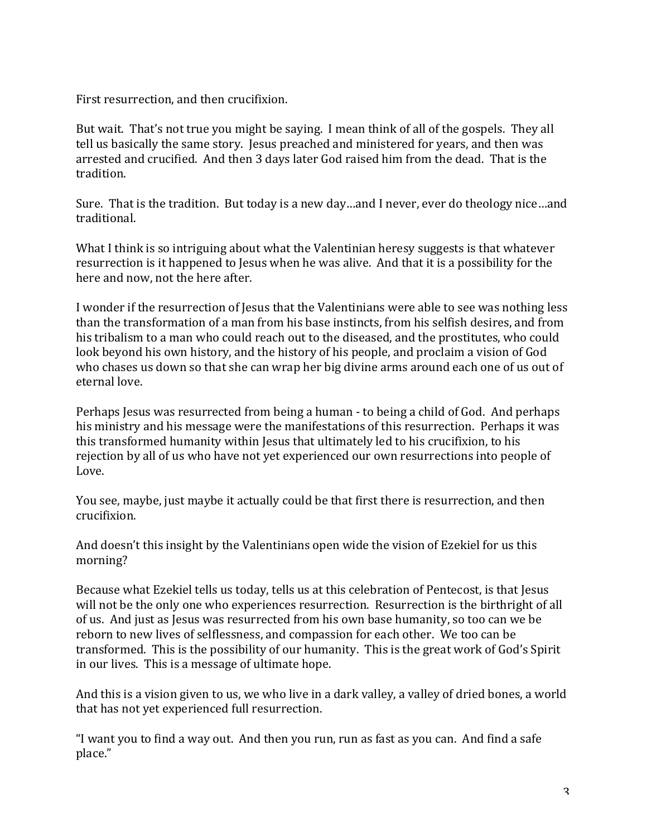First resurrection, and then crucifixion.

But wait. That's not true you might be saying. I mean think of all of the gospels. They all tell us basically the same story. Jesus preached and ministered for years, and then was arrested and crucified. And then 3 days later God raised him from the dead. That is the tradition.

Sure. That is the tradition. But today is a new day...and I never, ever do theology nice...and traditional.

What I think is so intriguing about what the Valentinian heresy suggests is that whatever resurrection is it happened to Jesus when he was alive. And that it is a possibility for the here and now, not the here after.

I wonder if the resurrection of Jesus that the Valentinians were able to see was nothing less than the transformation of a man from his base instincts, from his selfish desires, and from his tribalism to a man who could reach out to the diseased, and the prostitutes, who could look beyond his own history, and the history of his people, and proclaim a vision of God who chases us down so that she can wrap her big divine arms around each one of us out of eternal love.

Perhaps Jesus was resurrected from being a human - to being a child of God. And perhaps his ministry and his message were the manifestations of this resurrection. Perhaps it was this transformed humanity within Jesus that ultimately led to his crucifixion, to his rejection by all of us who have not yet experienced our own resurrections into people of Love.

You see, maybe, just maybe it actually could be that first there is resurrection, and then crucifixion.

And doesn't this insight by the Valentinians open wide the vision of Ezekiel for us this morning? 

Because what Ezekiel tells us today, tells us at this celebration of Pentecost, is that Jesus will not be the only one who experiences resurrection. Resurrection is the birthright of all of us. And just as Jesus was resurrected from his own base humanity, so too can we be reborn to new lives of selflessness, and compassion for each other. We too can be transformed. This is the possibility of our humanity. This is the great work of God's Spirit in our lives. This is a message of ultimate hope.

And this is a vision given to us, we who live in a dark valley, a valley of dried bones, a world that has not yet experienced full resurrection.

"I want you to find a way out. And then you run, run as fast as you can. And find a safe place."